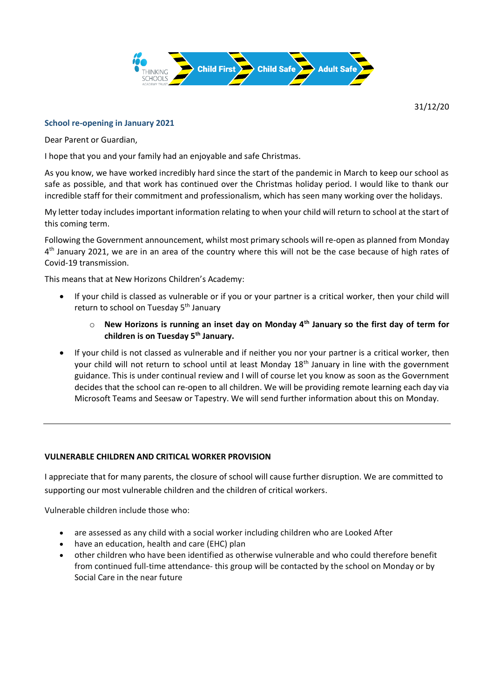

31/12/20

## **School re-opening in January 2021**

Dear Parent or Guardian,

I hope that you and your family had an enjoyable and safe Christmas.

As you know, we have worked incredibly hard since the start of the pandemic in March to keep our school as safe as possible, and that work has continued over the Christmas holiday period. I would like to thank our incredible staff for their commitment and professionalism, which has seen many working over the holidays.

My letter today includes important information relating to when your child will return to school at the start of this coming term.

Following the Government announcement, whilst most primary schools will re-open as planned from Monday 4<sup>th</sup> January 2021, we are in an area of the country where this will not be the case because of high rates of Covid-19 transmission.

This means that at New Horizons Children's Academy:

- If your child is classed as vulnerable or if you or your partner is a critical worker, then your child will return to school on Tuesday 5<sup>th</sup> January
	- o **New Horizons is running an inset day on Monday 4th January so the first day of term for children is on Tuesday 5th January.**
- If your child is not classed as vulnerable and if neither you nor your partner is a critical worker, then your child will not return to school until at least Monday 18<sup>th</sup> January in line with the government guidance. This is under continual review and I will of course let you know as soon as the Government decides that the school can re-open to all children. We will be providing remote learning each day via Microsoft Teams and Seesaw or Tapestry. We will send further information about this on Monday.

## **VULNERABLE CHILDREN AND CRITICAL WORKER PROVISION**

I appreciate that for many parents, the closure of school will cause further disruption. We are committed to supporting our most vulnerable children and the children of critical workers.

Vulnerable children include those who:

- are assessed as any child with a social worker including children who are Looked After
- have an education, health and care (EHC) plan
- other children who have been identified as otherwise vulnerable and who could therefore benefit from continued full-time attendance- this group will be contacted by the school on Monday or by Social Care in the near future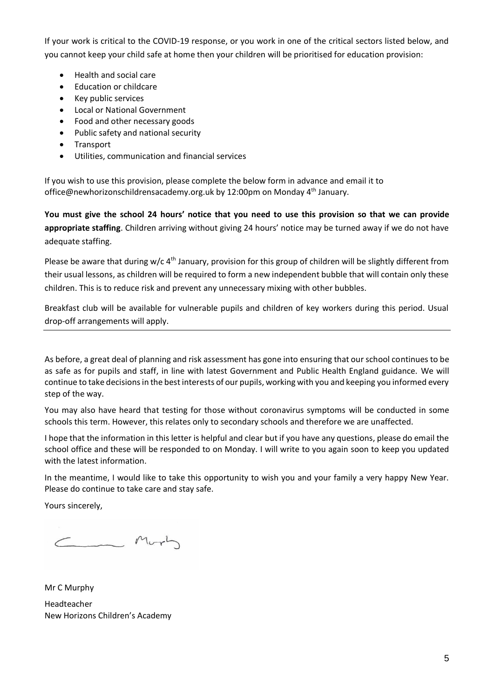If your work is critical to the COVID-19 response, or you work in one of the critical sectors listed below, and you cannot keep your child safe at home then your children will be prioritised for education provision:

- Health and social care
- Education or childcare
- Key public services
- Local or National Government
- Food and other necessary goods
- Public safety and national security
- Transport
- Utilities, communication and financial services

If you wish to use this provision, please complete the below form in advance and email it to office@newhorizonschildrensacademy.org.uk by 12:00pm on Monday 4<sup>th</sup> January.

**You must give the school 24 hours' notice that you need to use this provision so that we can provide appropriate staffing**. Children arriving without giving 24 hours' notice may be turned away if we do not have adequate staffing.

Please be aware that during w/c  $4<sup>th</sup>$  January, provision for this group of children will be slightly different from their usual lessons, as children will be required to form a new independent bubble that will contain only these children. This is to reduce risk and prevent any unnecessary mixing with other bubbles.

Breakfast club will be available for vulnerable pupils and children of key workers during this period. Usual drop-off arrangements will apply.

As before, a great deal of planning and risk assessment has gone into ensuring that our school continues to be as safe as for pupils and staff, in line with latest Government and Public Health England guidance. We will continue to take decisions in the best interests of our pupils, working with you and keeping you informed every step of the way.

You may also have heard that testing for those without coronavirus symptoms will be conducted in some schools this term. However, this relates only to secondary schools and therefore we are unaffected.

I hope that the information in this letter is helpful and clear but if you have any questions, please do email the school office and these will be responded to on Monday. I will write to you again soon to keep you updated with the latest information.

In the meantime, I would like to take this opportunity to wish you and your family a very happy New Year. Please do continue to take care and stay safe.

Yours sincerely,

Mort

Mr C Murphy Headteacher New Horizons Children's Academy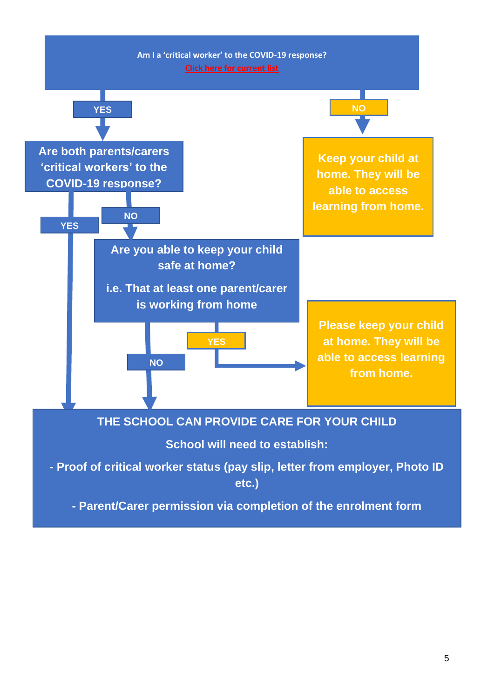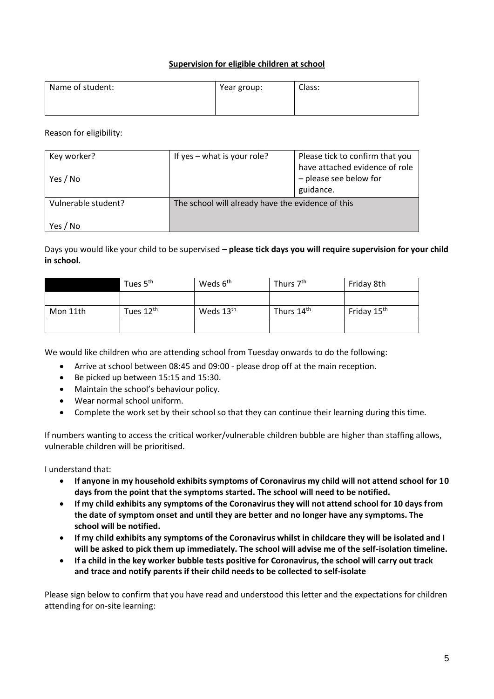## **Supervision for eligible children at school**

| Name of student: | Year group: | Class: |
|------------------|-------------|--------|
|                  |             |        |

Reason for eligibility:

| Key worker?<br>Yes / No | If yes $-$ what is your role?                                  | Please tick to confirm that you<br>have attached evidence of role<br>- please see below for |
|-------------------------|----------------------------------------------------------------|---------------------------------------------------------------------------------------------|
| Vulnerable student?     | guidance.<br>The school will already have the evidence of this |                                                                                             |
| Yes / No                |                                                                |                                                                                             |

Days you would like your child to be supervised – **please tick days you will require supervision for your child in school.**

|          | Tues 5 <sup>th</sup>  | Weds 6 <sup>th</sup>  | Thurs 7 <sup>th</sup>  | Friday 8th              |
|----------|-----------------------|-----------------------|------------------------|-------------------------|
|          |                       |                       |                        |                         |
| Mon 11th | Tues 12 <sup>th</sup> | Weds 13 <sup>th</sup> | Thurs 14 <sup>th</sup> | Friday 15 <sup>th</sup> |
|          |                       |                       |                        |                         |

We would like children who are attending school from Tuesday onwards to do the following:

- Arrive at school between 08:45 and 09:00 please drop off at the main reception.
- Be picked up between 15:15 and 15:30.
- Maintain the school's behaviour policy.
- Wear normal school uniform.
- Complete the work set by their school so that they can continue their learning during this time.

If numbers wanting to access the critical worker/vulnerable children bubble are higher than staffing allows, vulnerable children will be prioritised.

I understand that:

- **If anyone in my household exhibits symptoms of Coronavirus my child will not attend school for 10 days from the point that the symptoms started. The school will need to be notified.**
- **If my child exhibits any symptoms of the Coronavirus they will not attend school for 10 days from the date of symptom onset and until they are better and no longer have any symptoms. The school will be notified.**
- **If my child exhibits any symptoms of the Coronavirus whilst in childcare they will be isolated and I will be asked to pick them up immediately. The school will advise me of the self-isolation timeline.**
- **If a child in the key worker bubble tests positive for Coronavirus, the school will carry out track and trace and notify parents if their child needs to be collected to self-isolate**

Please sign below to confirm that you have read and understood this letter and the expectations for children attending for on-site learning: